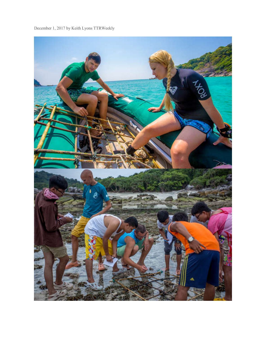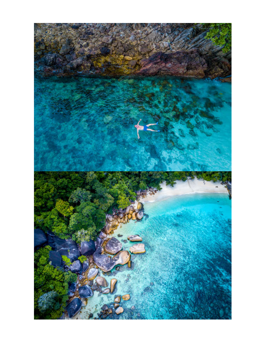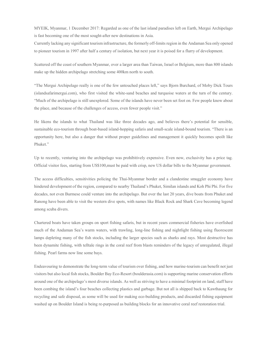MYEIK, Myanmar, 1 December 2017: Regarded as one of the last island paradises left on Earth, Mergui Archipelago is fast becoming one of the most sought-after new destinations in Asia.

Currently lacking any significant tourism infrastructure, the formerly off-limits region in the Andaman Sea only opened to pioneer tourism in 1997 after half a century of isolation, but next year it is poised for a flurry of development.

Scattered off the coast of southern Myanmar, over a larger area than Taiwan, Israel or Belgium, more than 800 islands make up the hidden archipelago stretching some 400km north to south.

"The Mergui Archipelago really is one of the few untouched places left," says Bjorn Burchard, of Moby Dick Tours (islandsafarimergui.com), who first visited the white-sand beaches and turquoise waters at the turn of the century. "Much of the archipelago is still unexplored. Some of the islands have never been set foot on. Few people know about the place, and because of the challenges of access, even fewer people visit."

He likens the islands to what Thailand was like three decades ago, and believes there's potential for sensible, sustainable eco-tourism through boat-based island-hopping safaris and small-scale island-bound tourism. "There is an opportunity here, but also a danger that without proper guidelines and management it quickly becomes spoilt like Phuket."

Up to recently, venturing into the archipelago was prohibitively expensive. Even now, exclusivity has a price tag. Official visitor fees, starting from US\$100,must be paid with crisp, new US dollar bills to the Myanmar government.

The access difficulties, sensitivities policing the Thai-Myanmar border and a clandestine smuggler economy have hindered development of the region, compared to nearby Thailand's Phuket, Similan islands and Koh Phi Phi. For five decades, not even Burmese could venture into the archipelago. But over the last 20 years, dive boats from Phuket and Ranong have been able to visit the western dive spots, with names like Black Rock and Shark Cave becoming legend among scuba divers.

Chartered boats have taken groups on sport fishing safaris, but in recent years commercial fisheries have overfished much of the Andaman Sea's warm waters, with trawling, long-line fishing and nightlight fishing using fluorescent lamps depleting many of the fish stocks, including the larger species such as sharks and rays. Most destructive has been dynamite fishing, with telltale rings in the coral reef from blasts reminders of the legacy of unregulated, illegal fishing. Pearl farms now line some bays.

Endeavouring to demonstrate the long-term value of tourism over fishing, and how marine-tourism can benefit not just visitors but also local fish stocks, Boulder Bay Eco-Resort (boulderasia.com) is supporting marine conservation efforts around one of the archipelago's most diverse islands. As well as striving to have a minimal footprint on land, staff have been combing the island's four beaches collecting plastics and garbage. But not all is shipped back to Kawthaung for recycling and safe disposal, as some will be used for making eco-building products, and discarded fishing equipment washed up on Boulder Island is being re-purposed as building blocks for an innovative coral reef restoration trial.